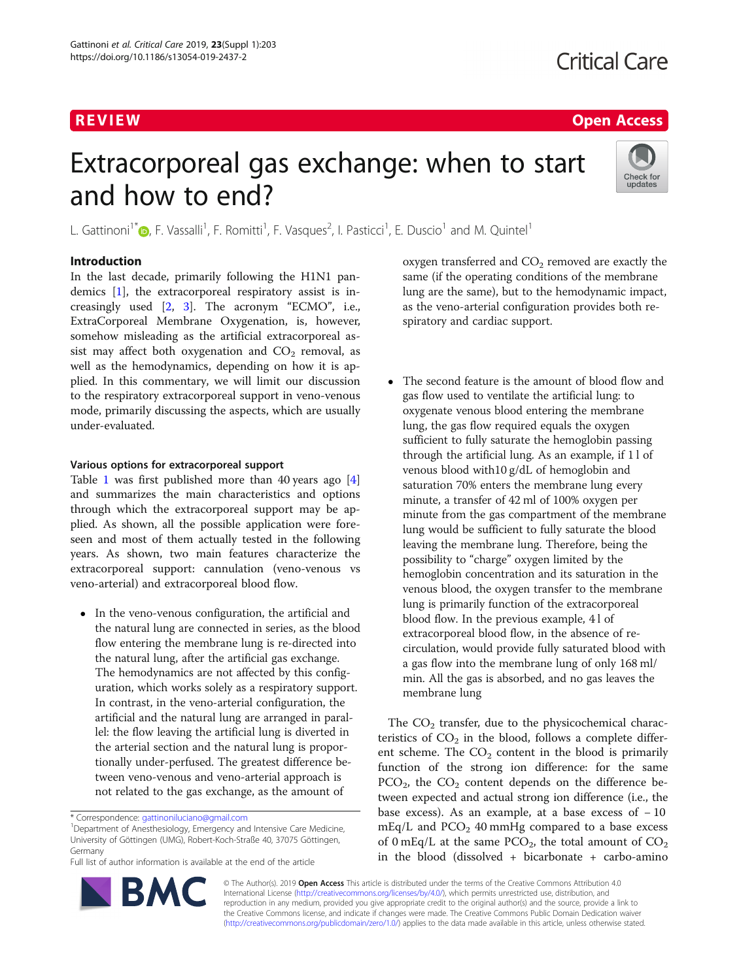# R EVI EW Open Access

# Extracorporeal gas exchange: when to start and how to end?



L. Gattinoni<sup>1[\\*](http://orcid.org/0000-0001-5380-2494)</sup> (**p**, F. Vassalli<sup>1</sup>, F. Romitti<sup>1</sup>, F. Vasques<sup>2</sup>, I. Pasticci<sup>1</sup>, E. Duscio<sup>1</sup> and M. Quintel<sup>1</sup>

## Introduction

In the last decade, primarily following the H1N1 pandemics [[1\]](#page-5-0), the extracorporeal respiratory assist is increasingly used  $[2, 3]$  $[2, 3]$  $[2, 3]$  $[2, 3]$ . The acronym "ECMO", i.e., ExtraCorporeal Membrane Oxygenation, is, however, somehow misleading as the artificial extracorporeal assist may affect both oxygenation and  $CO<sub>2</sub>$  removal, as well as the hemodynamics, depending on how it is applied. In this commentary, we will limit our discussion to the respiratory extracorporeal support in veno-venous mode, primarily discussing the aspects, which are usually under-evaluated.

### Various options for extracorporeal support

Table [1](#page-1-0) was first published more than 40 years ago [\[4](#page-5-0)] and summarizes the main characteristics and options through which the extracorporeal support may be applied. As shown, all the possible application were foreseen and most of them actually tested in the following years. As shown, two main features characterize the extracorporeal support: cannulation (veno-venous vs veno-arterial) and extracorporeal blood flow.

 In the veno-venous configuration, the artificial and the natural lung are connected in series, as the blood flow entering the membrane lung is re-directed into the natural lung, after the artificial gas exchange. The hemodynamics are not affected by this configuration, which works solely as a respiratory support. In contrast, in the veno-arterial configuration, the artificial and the natural lung are arranged in parallel: the flow leaving the artificial lung is diverted in the arterial section and the natural lung is proportionally under-perfused. The greatest difference between veno-venous and veno-arterial approach is not related to the gas exchange, as the amount of

Full list of author information is available at the end of the article



oxygen transferred and  $CO<sub>2</sub>$  removed are exactly the same (if the operating conditions of the membrane lung are the same), but to the hemodynamic impact, as the veno-arterial configuration provides both respiratory and cardiac support.

 The second feature is the amount of blood flow and gas flow used to ventilate the artificial lung: to oxygenate venous blood entering the membrane lung, the gas flow required equals the oxygen sufficient to fully saturate the hemoglobin passing through the artificial lung. As an example, if 1 l of venous blood with10 g/dL of hemoglobin and saturation 70% enters the membrane lung every minute, a transfer of 42 ml of 100% oxygen per minute from the gas compartment of the membrane lung would be sufficient to fully saturate the blood leaving the membrane lung. Therefore, being the possibility to "charge" oxygen limited by the hemoglobin concentration and its saturation in the venous blood, the oxygen transfer to the membrane lung is primarily function of the extracorporeal blood flow. In the previous example, 4 l of extracorporeal blood flow, in the absence of recirculation, would provide fully saturated blood with a gas flow into the membrane lung of only 168 ml/ min. All the gas is absorbed, and no gas leaves the membrane lung

The  $CO<sub>2</sub>$  transfer, due to the physicochemical characteristics of  $CO<sub>2</sub>$  in the blood, follows a complete different scheme. The  $CO<sub>2</sub>$  content in the blood is primarily function of the strong ion difference: for the same  $PCO<sub>2</sub>$ , the  $CO<sub>2</sub>$  content depends on the difference between expected and actual strong ion difference (i.e., the base excess). As an example, at a base excess of  $-10$  $mEq/L$  and  $PCO<sub>2</sub>$  40 mmHg compared to a base excess of 0 mEq/L at the same  $PCO<sub>2</sub>$ , the total amount of  $CO<sub>2</sub>$ in the blood (dissolved + bicarbonate + carbo-amino



© The Author(s). 2019 Open Access This article is distributed under the terms of the Creative Commons Attribution 4.0 International License [\(http://creativecommons.org/licenses/by/4.0/](http://creativecommons.org/licenses/by/4.0/)), which permits unrestricted use, distribution, and reproduction in any medium, provided you give appropriate credit to the original author(s) and the source, provide a link to the Creative Commons license, and indicate if changes were made. The Creative Commons Public Domain Dedication waiver [\(http://creativecommons.org/publicdomain/zero/1.0/](http://creativecommons.org/publicdomain/zero/1.0/)) applies to the data made available in this article, unless otherwise stated.

<sup>\*</sup> Correspondence: [gattinoniluciano@gmail.com](mailto:gattinoniluciano@gmail.com) <sup>1</sup>

<sup>&</sup>lt;sup>1</sup>Department of Anesthesiology, Emergency and Intensive Care Medicine, University of Göttingen (UMG), Robert-Koch-Straße 40, 37075 Göttingen, Germany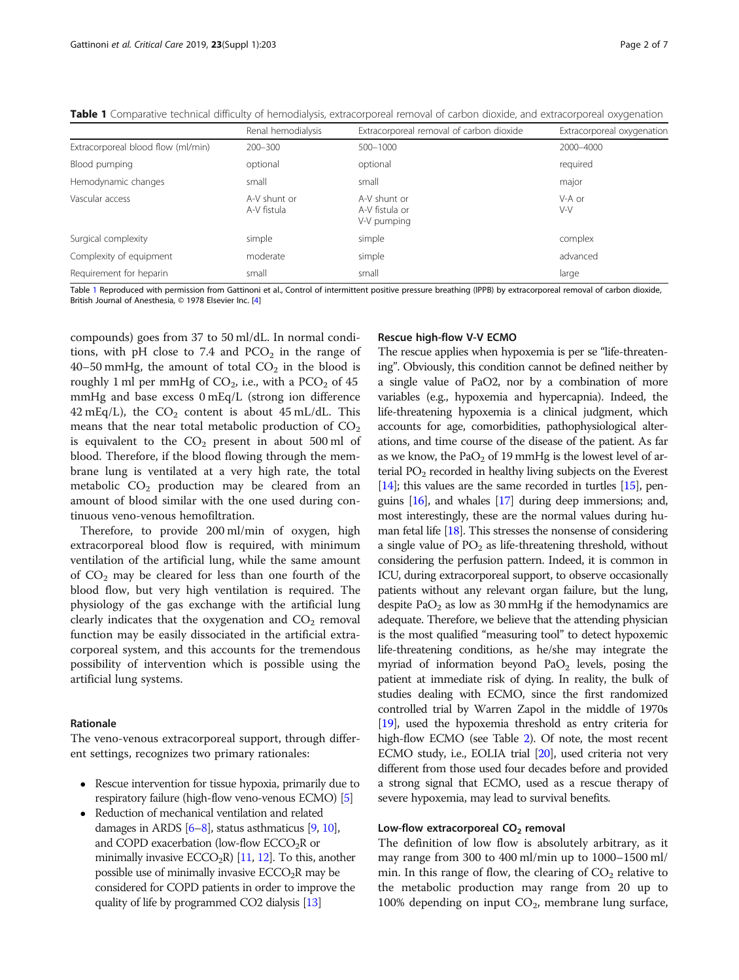|                                    | Renal hemodialysis          | Extracorporeal removal of carbon dioxide      | Extracorporeal oxygenation |
|------------------------------------|-----------------------------|-----------------------------------------------|----------------------------|
| Extracorporeal blood flow (ml/min) | $200 - 300$                 | 500-1000                                      | 2000-4000                  |
| Blood pumping                      | optional                    | optional                                      | required                   |
| Hemodynamic changes                | small                       | small                                         | major                      |
| Vascular access                    | A-V shunt or<br>A-V fistula | A-V shunt or<br>A-V fistula or<br>V-V pumping | V-A or<br>V-V              |
| Surgical complexity                | simple                      | simple                                        | complex                    |
| Complexity of equipment            | moderate                    | simple                                        | advanced                   |
| Requirement for heparin            | small                       | small                                         | large                      |

<span id="page-1-0"></span>Table 1 Comparative technical difficulty of hemodialysis, extracorporeal removal of carbon dioxide, and extracorporeal oxygenation

Table 1 Reproduced with permission from Gattinoni et al., Control of intermittent positive pressure breathing (IPPB) by extracorporeal removal of carbon dioxide, British Journal of Anesthesia, © 1978 Elsevier Inc. [[4\]](#page-5-0)

compounds) goes from 37 to 50 ml/dL. In normal conditions, with pH close to 7.4 and  $PCO<sub>2</sub>$  in the range of 40–50 mmHg, the amount of total  $CO<sub>2</sub>$  in the blood is roughly 1 ml per mmHg of  $CO<sub>2</sub>$ , i.e., with a  $PCO<sub>2</sub>$  of 45 mmHg and base excess 0 mEq/L (strong ion difference 42 mEq/L), the  $CO<sub>2</sub>$  content is about 45 mL/dL. This means that the near total metabolic production of  $CO<sub>2</sub>$ is equivalent to the  $CO<sub>2</sub>$  present in about 500 ml of blood. Therefore, if the blood flowing through the membrane lung is ventilated at a very high rate, the total metabolic  $CO<sub>2</sub>$  production may be cleared from an amount of blood similar with the one used during continuous veno-venous hemofiltration.

Therefore, to provide 200 ml/min of oxygen, high extracorporeal blood flow is required, with minimum ventilation of the artificial lung, while the same amount of  $CO<sub>2</sub>$  may be cleared for less than one fourth of the blood flow, but very high ventilation is required. The physiology of the gas exchange with the artificial lung clearly indicates that the oxygenation and  $CO<sub>2</sub>$  removal function may be easily dissociated in the artificial extracorporeal system, and this accounts for the tremendous possibility of intervention which is possible using the artificial lung systems.

#### Rationale

The veno-venous extracorporeal support, through different settings, recognizes two primary rationales:

- Rescue intervention for tissue hypoxia, primarily due to respiratory failure (high-flow veno-venous ECMO) [\[5\]](#page-5-0)
- Reduction of mechanical ventilation and related damages in ARDS  $[6-8]$  $[6-8]$  $[6-8]$  $[6-8]$ , status asthmaticus  $[9, 10]$  $[9, 10]$  $[9, 10]$  $[9, 10]$  $[9, 10]$ , and COPD exacerbation (low-flow  $ECCO<sub>2</sub>R$  or minimally invasive  $ECCO<sub>2</sub>R$ ) [[11](#page-5-0), [12\]](#page-5-0). To this, another possible use of minimally invasive  $ECCO<sub>2</sub>R$  may be considered for COPD patients in order to improve the quality of life by programmed CO2 dialysis [\[13](#page-5-0)]

#### Rescue high-flow V-V ECMO

The rescue applies when hypoxemia is per se "life-threatening". Obviously, this condition cannot be defined neither by a single value of PaO2, nor by a combination of more variables (e.g., hypoxemia and hypercapnia). Indeed, the life-threatening hypoxemia is a clinical judgment, which accounts for age, comorbidities, pathophysiological alterations, and time course of the disease of the patient. As far as we know, the  $PaO<sub>2</sub>$  of 19 mmHg is the lowest level of arterial  $PO<sub>2</sub>$  recorded in healthy living subjects on the Everest  $[14]$  $[14]$  $[14]$ ; this values are the same recorded in turtles  $[15]$  $[15]$ , penguins [\[16\]](#page-5-0), and whales [\[17](#page-5-0)] during deep immersions; and, most interestingly, these are the normal values during human fetal life [\[18](#page-5-0)]. This stresses the nonsense of considering a single value of  $PO<sub>2</sub>$  as life-threatening threshold, without considering the perfusion pattern. Indeed, it is common in ICU, during extracorporeal support, to observe occasionally patients without any relevant organ failure, but the lung, despite  $PaO<sub>2</sub>$  as low as 30 mmHg if the hemodynamics are adequate. Therefore, we believe that the attending physician is the most qualified "measuring tool" to detect hypoxemic life-threatening conditions, as he/she may integrate the myriad of information beyond  $PaO<sub>2</sub>$  levels, posing the patient at immediate risk of dying. In reality, the bulk of studies dealing with ECMO, since the first randomized controlled trial by Warren Zapol in the middle of 1970s [[19](#page-5-0)], used the hypoxemia threshold as entry criteria for high-flow ECMO (see Table [2](#page-2-0)). Of note, the most recent ECMO study, i.e., EOLIA trial [\[20](#page-5-0)], used criteria not very different from those used four decades before and provided a strong signal that ECMO, used as a rescue therapy of severe hypoxemia, may lead to survival benefits.

#### Low-flow extracorporeal  $CO<sub>2</sub>$  removal

The definition of low flow is absolutely arbitrary, as it may range from 300 to 400 ml/min up to 1000–1500 ml/ min. In this range of flow, the clearing of  $CO<sub>2</sub>$  relative to the metabolic production may range from 20 up to 100% depending on input  $CO<sub>2</sub>$ , membrane lung surface,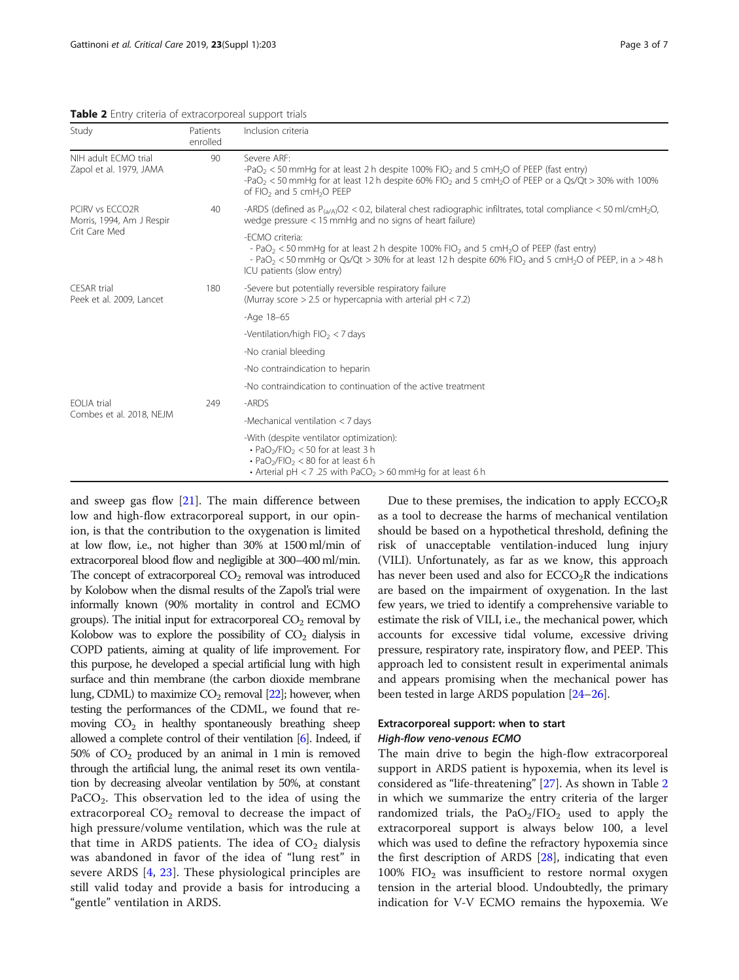<span id="page-2-0"></span>Table 2 Entry criteria of extracorporeal support trials

| Study                                                         | Patients<br>enrolled | Inclusion criteria                                                                                                                                                                                                                                                                                                                     |  |
|---------------------------------------------------------------|----------------------|----------------------------------------------------------------------------------------------------------------------------------------------------------------------------------------------------------------------------------------------------------------------------------------------------------------------------------------|--|
| NIH adult ECMO trial<br>Zapol et al. 1979, JAMA               | 90                   | Severe ARF:<br>-PaO <sub>2</sub> < 50 mmHg for at least 2 h despite 100% FIO <sub>2</sub> and 5 cmH <sub>2</sub> O of PEEP (fast entry)<br>-PaO <sub>2</sub> < 50 mmHg for at least 12 h despite 60% FIO <sub>2</sub> and 5 cmH <sub>2</sub> O of PEEP or a Qs/Qt > 30% with 100%<br>of FIO <sub>2</sub> and 5 cmH <sub>2</sub> O PEEP |  |
| PCIRV vs ECCO2R<br>Morris, 1994, Am J Respir<br>Crit Care Med | 40                   | -ARDS (defined as $P_{(a/A)}O2 < 0.2$ , bilateral chest radiographic infiltrates, total compliance < 50 ml/cmH <sub>2</sub> O,<br>wedge pressure $<$ 15 mmHg and no signs of heart failure)                                                                                                                                            |  |
|                                                               |                      | -FCMO criteria:<br>- PaO <sub>2</sub> < 50 mmHg for at least 2 h despite 100% FIO <sub>2</sub> and 5 cmH <sub>2</sub> O of PEEP (fast entry)<br>- PaO <sub>2</sub> < 50 mmHg or Qs/Qt > 30% for at least 12 h despite 60% FIO <sub>2</sub> and 5 cmH <sub>2</sub> O of PEEP, in a > 48 h<br>ICU patients (slow entry)                  |  |
| CESAR trial<br>Peek et al. 2009, Lancet                       | 180                  | -Severe but potentially reversible respiratory failure<br>(Murray score $> 2.5$ or hypercapnia with arterial pH < 7.2)                                                                                                                                                                                                                 |  |
|                                                               |                      | $-Aqe$ 18-65                                                                                                                                                                                                                                                                                                                           |  |
|                                                               |                      | -Ventilation/high $FIO_2 < 7$ days                                                                                                                                                                                                                                                                                                     |  |
|                                                               |                      | -No cranial bleeding                                                                                                                                                                                                                                                                                                                   |  |
|                                                               |                      | -No contraindication to heparin                                                                                                                                                                                                                                                                                                        |  |
|                                                               |                      | -No contraindication to continuation of the active treatment                                                                                                                                                                                                                                                                           |  |
| <b>EOLIA</b> trial<br>Combes et al. 2018, NEJM                | 249                  | -ARDS                                                                                                                                                                                                                                                                                                                                  |  |
|                                                               |                      | -Mechanical ventilation $<$ 7 days                                                                                                                                                                                                                                                                                                     |  |
|                                                               |                      | -With (despite ventilator optimization):<br>$\cdot$ PaO <sub>2</sub> /FIO <sub>2</sub> < 50 for at least 3 h<br>$\cdot$ PaO <sub>2</sub> /FIO <sub>2</sub> < 80 for at least 6 h<br>• Arterial pH < 7 .25 with PaCO <sub>2</sub> > 60 mmHg for at least 6 h                                                                            |  |

and sweep gas flow [\[21](#page-5-0)]. The main difference between low and high-flow extracorporeal support, in our opinion, is that the contribution to the oxygenation is limited at low flow, i.e., not higher than 30% at 1500 ml/min of extracorporeal blood flow and negligible at 300–400 ml/min. The concept of extracorporeal  $CO<sub>2</sub>$  removal was introduced by Kolobow when the dismal results of the Zapol's trial were informally known (90% mortality in control and ECMO groups). The initial input for extracorporeal  $CO<sub>2</sub>$  removal by Kolobow was to explore the possibility of  $CO<sub>2</sub>$  dialysis in COPD patients, aiming at quality of life improvement. For this purpose, he developed a special artificial lung with high surface and thin membrane (the carbon dioxide membrane lung, CDML) to maximize  $CO<sub>2</sub>$  removal [\[22](#page-5-0)]; however, when testing the performances of the CDML, we found that removing  $CO<sub>2</sub>$  in healthy spontaneously breathing sheep allowed a complete control of their ventilation [\[6\]](#page-5-0). Indeed, if 50% of  $CO<sub>2</sub>$  produced by an animal in 1 min is removed through the artificial lung, the animal reset its own ventilation by decreasing alveolar ventilation by 50%, at constant PaCO<sub>2</sub>. This observation led to the idea of using the extracorporeal  $CO<sub>2</sub>$  removal to decrease the impact of high pressure/volume ventilation, which was the rule at that time in ARDS patients. The idea of  $CO<sub>2</sub>$  dialysis was abandoned in favor of the idea of "lung rest" in severe ARDS [\[4](#page-5-0), [23](#page-5-0)]. These physiological principles are still valid today and provide a basis for introducing a "gentle" ventilation in ARDS.

Due to these premises, the indication to apply  $ECCO<sub>2</sub>R$ as a tool to decrease the harms of mechanical ventilation should be based on a hypothetical threshold, defining the risk of unacceptable ventilation-induced lung injury (VILI). Unfortunately, as far as we know, this approach has never been used and also for  $ECCO<sub>2</sub>R$  the indications are based on the impairment of oxygenation. In the last few years, we tried to identify a comprehensive variable to estimate the risk of VILI, i.e., the mechanical power, which accounts for excessive tidal volume, excessive driving pressure, respiratory rate, inspiratory flow, and PEEP. This approach led to consistent result in experimental animals and appears promising when the mechanical power has been tested in large ARDS population [\[24](#page-5-0)–[26](#page-5-0)].

## Extracorporeal support: when to start

The main drive to begin the high-flow extracorporeal support in ARDS patient is hypoxemia, when its level is considered as "life-threatening" [[27\]](#page-5-0). As shown in Table 2 in which we summarize the entry criteria of the larger randomized trials, the  $PaO<sub>2</sub>/FIO<sub>2</sub>$  used to apply the extracorporeal support is always below 100, a level which was used to define the refractory hypoxemia since the first description of ARDS [[28\]](#page-5-0), indicating that even  $100\%$  FIO<sub>2</sub> was insufficient to restore normal oxygen tension in the arterial blood. Undoubtedly, the primary indication for V-V ECMO remains the hypoxemia. We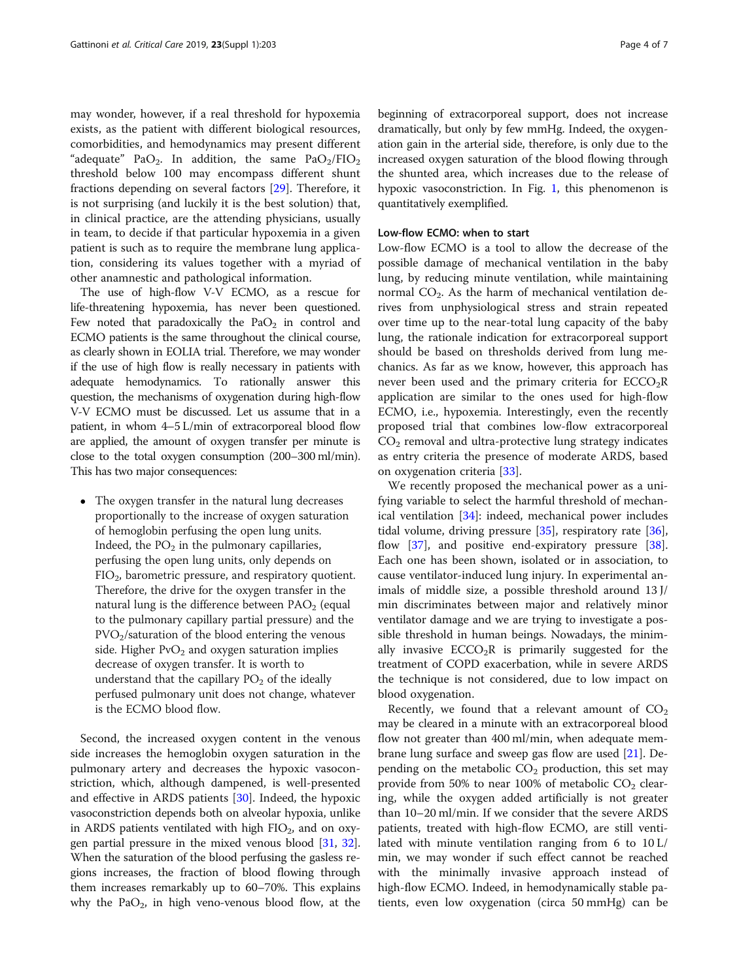may wonder, however, if a real threshold for hypoxemia exists, as the patient with different biological resources, comorbidities, and hemodynamics may present different "adequate" PaO<sub>2</sub>. In addition, the same PaO<sub>2</sub>/FIO<sub>2</sub> threshold below 100 may encompass different shunt fractions depending on several factors [\[29](#page-6-0)]. Therefore, it is not surprising (and luckily it is the best solution) that, in clinical practice, are the attending physicians, usually in team, to decide if that particular hypoxemia in a given patient is such as to require the membrane lung application, considering its values together with a myriad of other anamnestic and pathological information.

The use of high-flow V-V ECMO, as a rescue for life-threatening hypoxemia, has never been questioned. Few noted that paradoxically the  $PaO<sub>2</sub>$  in control and ECMO patients is the same throughout the clinical course, as clearly shown in EOLIA trial. Therefore, we may wonder if the use of high flow is really necessary in patients with adequate hemodynamics. To rationally answer this question, the mechanisms of oxygenation during high-flow V-V ECMO must be discussed. Let us assume that in a patient, in whom 4–5 L/min of extracorporeal blood flow are applied, the amount of oxygen transfer per minute is close to the total oxygen consumption (200–300 ml/min). This has two major consequences:

• The oxygen transfer in the natural lung decreases proportionally to the increase of oxygen saturation of hemoglobin perfusing the open lung units. Indeed, the  $PO<sub>2</sub>$  in the pulmonary capillaries, perfusing the open lung units, only depends on  $FIO<sub>2</sub>$ , barometric pressure, and respiratory quotient. Therefore, the drive for the oxygen transfer in the natural lung is the difference between  $PAO<sub>2</sub>$  (equal to the pulmonary capillary partial pressure) and the PVO2/saturation of the blood entering the venous side. Higher  $PvO<sub>2</sub>$  and oxygen saturation implies decrease of oxygen transfer. It is worth to understand that the capillary  $PO<sub>2</sub>$  of the ideally perfused pulmonary unit does not change, whatever is the ECMO blood flow.

Second, the increased oxygen content in the venous side increases the hemoglobin oxygen saturation in the pulmonary artery and decreases the hypoxic vasoconstriction, which, although dampened, is well-presented and effective in ARDS patients [[30](#page-6-0)]. Indeed, the hypoxic vasoconstriction depends both on alveolar hypoxia, unlike in ARDS patients ventilated with high  $FIO<sub>2</sub>$ , and on oxygen partial pressure in the mixed venous blood [\[31,](#page-6-0) [32](#page-6-0)]. When the saturation of the blood perfusing the gasless regions increases, the fraction of blood flowing through them increases remarkably up to 60–70%. This explains why the  $PaO<sub>2</sub>$ , in high veno-venous blood flow, at the beginning of extracorporeal support, does not increase dramatically, but only by few mmHg. Indeed, the oxygenation gain in the arterial side, therefore, is only due to the increased oxygen saturation of the blood flowing through the shunted area, which increases due to the release of hypoxic vasoconstriction. In Fig. [1](#page-4-0), this phenomenon is quantitatively exemplified.

#### Low-flow ECMO: when to start

Low-flow ECMO is a tool to allow the decrease of the possible damage of mechanical ventilation in the baby lung, by reducing minute ventilation, while maintaining normal  $CO<sub>2</sub>$ . As the harm of mechanical ventilation derives from unphysiological stress and strain repeated over time up to the near-total lung capacity of the baby lung, the rationale indication for extracorporeal support should be based on thresholds derived from lung mechanics. As far as we know, however, this approach has never been used and the primary criteria for  $ECCO<sub>2</sub>R$ application are similar to the ones used for high-flow ECMO, i.e., hypoxemia. Interestingly, even the recently proposed trial that combines low-flow extracorporeal  $CO<sub>2</sub>$  removal and ultra-protective lung strategy indicates as entry criteria the presence of moderate ARDS, based on oxygenation criteria [[33](#page-6-0)].

We recently proposed the mechanical power as a unifying variable to select the harmful threshold of mechanical ventilation [\[34\]](#page-6-0): indeed, mechanical power includes tidal volume, driving pressure [[35\]](#page-6-0), respiratory rate [\[36](#page-6-0)], flow [[37\]](#page-6-0), and positive end-expiratory pressure [\[38](#page-6-0)]. Each one has been shown, isolated or in association, to cause ventilator-induced lung injury. In experimental animals of middle size, a possible threshold around 13 J/ min discriminates between major and relatively minor ventilator damage and we are trying to investigate a possible threshold in human beings. Nowadays, the minimally invasive  $ECCO<sub>2</sub>R$  is primarily suggested for the treatment of COPD exacerbation, while in severe ARDS the technique is not considered, due to low impact on blood oxygenation.

Recently, we found that a relevant amount of  $CO<sub>2</sub>$ may be cleared in a minute with an extracorporeal blood flow not greater than 400 ml/min, when adequate membrane lung surface and sweep gas flow are used [\[21](#page-5-0)]. Depending on the metabolic  $CO<sub>2</sub>$  production, this set may provide from 50% to near 100% of metabolic  $CO<sub>2</sub>$  clearing, while the oxygen added artificially is not greater than 10–20 ml/min. If we consider that the severe ARDS patients, treated with high-flow ECMO, are still ventilated with minute ventilation ranging from 6 to 10 L/ min, we may wonder if such effect cannot be reached with the minimally invasive approach instead of high-flow ECMO. Indeed, in hemodynamically stable patients, even low oxygenation (circa 50 mmHg) can be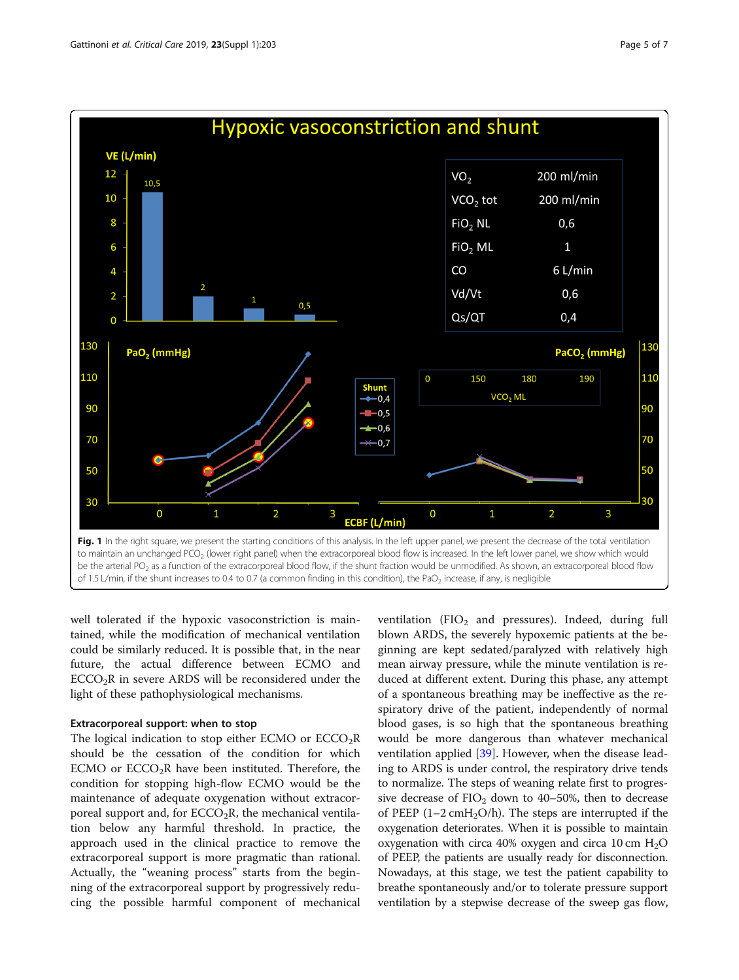<span id="page-4-0"></span>

well tolerated if the hypoxic vasoconstriction is maintained, while the modification of mechanical ventilation could be similarly reduced. It is possible that, in the near future, the actual difference between ECMO and  $ECCO<sub>2</sub>R$  in severe ARDS will be reconsidered under the light of these pathophysiological mechanisms.

### Extracorporeal support: when to stop

The logical indication to stop either ECMO or  $ECCO<sub>2</sub>R$ should be the cessation of the condition for which ECMO or  $ECCO<sub>2</sub>R$  have been instituted. Therefore, the condition for stopping high-flow ECMO would be the maintenance of adequate oxygenation without extracorporeal support and, for  $ECCO<sub>2</sub>R$ , the mechanical ventilation below any harmful threshold. In practice, the approach used in the clinical practice to remove the extracorporeal support is more pragmatic than rational. Actually, the "weaning process" starts from the beginning of the extracorporeal support by progressively reducing the possible harmful component of mechanical

ventilation  $(FIO<sub>2</sub>$  and pressures). Indeed, during full blown ARDS, the severely hypoxemic patients at the beginning are kept sedated/paralyzed with relatively high mean airway pressure, while the minute ventilation is reduced at different extent. During this phase, any attempt of a spontaneous breathing may be ineffective as the respiratory drive of the patient, independently of normal blood gases, is so high that the spontaneous breathing would be more dangerous than whatever mechanical ventilation applied [[39\]](#page-6-0). However, when the disease leading to ARDS is under control, the respiratory drive tends to normalize. The steps of weaning relate first to progressive decrease of  $FIO_2$  down to 40–50%, then to decrease of PEEP  $(1-2 \text{ cm}H_2O/h)$ . The steps are interrupted if the oxygenation deteriorates. When it is possible to maintain oxygenation with circa 40% oxygen and circa 10 cm  $H_2O$ of PEEP, the patients are usually ready for disconnection. Nowadays, at this stage, we test the patient capability to breathe spontaneously and/or to tolerate pressure support ventilation by a stepwise decrease of the sweep gas flow,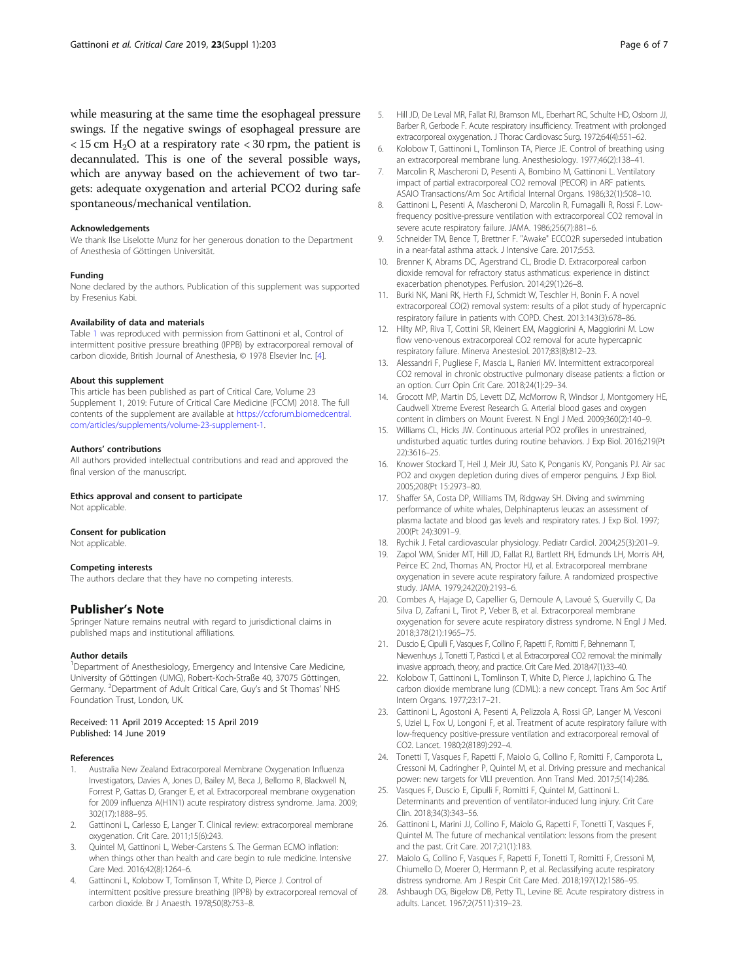<span id="page-5-0"></span>while measuring at the same time the esophageal pressure swings. If the negative swings of esophageal pressure are  $<$  15 cm H<sub>2</sub>O at a respiratory rate  $<$  30 rpm, the patient is decannulated. This is one of the several possible ways, which are anyway based on the achievement of two targets: adequate oxygenation and arterial PCO2 during safe spontaneous/mechanical ventilation.

#### Acknowledgements

We thank Ilse Liselotte Munz for her generous donation to the Department of Anesthesia of Göttingen Universität.

#### Funding

None declared by the authors. Publication of this supplement was supported by Fresenius Kabi.

#### Availability of data and materials

Table [1](#page-1-0) was reproduced with permission from Gattinoni et al., Control of intermittent positive pressure breathing (IPPB) by extracorporeal removal of carbon dioxide, British Journal of Anesthesia, © 1978 Elsevier Inc. [4].

#### About this supplement

This article has been published as part of Critical Care, Volume 23 Supplement 1, 2019: Future of Critical Care Medicine (FCCM) 2018. The full contents of the supplement are available at [https://ccforum.biomedcentral.](https://ccforum.biomedcentral.com/articles/supplements/volume-23-supplement-1) [com/articles/supplements/volume-23-supplement-1.](https://ccforum.biomedcentral.com/articles/supplements/volume-23-supplement-1)

#### Authors' contributions

All authors provided intellectual contributions and read and approved the final version of the manuscript.

#### Ethics approval and consent to participate

Not applicable.

#### Consent for publication

Not applicable.

#### Competing interests

The authors declare that they have no competing interests.

#### Publisher's Note

Springer Nature remains neutral with regard to jurisdictional claims in published maps and institutional affiliations.

#### Author details

<sup>1</sup>Department of Anesthesiology, Emergency and Intensive Care Medicine, University of Göttingen (UMG), Robert-Koch-Straße 40, 37075 Göttingen, Germany. <sup>2</sup>Department of Adult Critical Care, Guy's and St Thomas' NHS Foundation Trust, London, UK.

#### Received: 11 April 2019 Accepted: 15 April 2019 Published: 14 June 2019

#### References

- 1. Australia New Zealand Extracorporeal Membrane Oxygenation Influenza Investigators, Davies A, Jones D, Bailey M, Beca J, Bellomo R, Blackwell N, Forrest P, Gattas D, Granger E, et al. Extracorporeal membrane oxygenation for 2009 influenza A(H1N1) acute respiratory distress syndrome. Jama. 2009; 302(17):1888–95.
- 2. Gattinoni L, Carlesso E, Langer T. Clinical review: extracorporeal membrane oxygenation. Crit Care. 2011;15(6):243.
- 3. Quintel M, Gattinoni L, Weber-Carstens S. The German ECMO inflation: when things other than health and care begin to rule medicine. Intensive Care Med. 2016;42(8):1264–6.
- Gattinoni L, Kolobow T, Tomlinson T, White D, Pierce J. Control of intermittent positive pressure breathing (IPPB) by extracorporeal removal of carbon dioxide. Br J Anaesth. 1978;50(8):753–8.
- 5. Hill JD, De Leval MR, Fallat RJ, Bramson ML, Eberhart RC, Schulte HD, Osborn JJ, Barber R, Gerbode F. Acute respiratory insufficiency. Treatment with prolonged extracorporeal oxygenation. J Thorac Cardiovasc Surg. 1972;64(4):551–62.
- 6. Kolobow T, Gattinoni L, Tomlinson TA, Pierce JE. Control of breathing using an extracorporeal membrane lung. Anesthesiology. 1977;46(2):138–41.
- 7. Marcolin R, Mascheroni D, Pesenti A, Bombino M, Gattinoni L. Ventilatory impact of partial extracorporeal CO2 removal (PECOR) in ARF patients. ASAIO Transactions/Am Soc Artificial Internal Organs. 1986;32(1):508–10.
- 8. Gattinoni L, Pesenti A, Mascheroni D, Marcolin R, Fumagalli R, Rossi F. Lowfrequency positive-pressure ventilation with extracorporeal CO2 removal in severe acute respiratory failure. JAMA. 1986;256(7):881–6.
- 9. Schneider TM, Bence T, Brettner F. "Awake" ECCO2R superseded intubation in a near-fatal asthma attack. J Intensive Care. 2017;5:53.
- 10. Brenner K, Abrams DC, Agerstrand CL, Brodie D. Extracorporeal carbon dioxide removal for refractory status asthmaticus: experience in distinct exacerbation phenotypes. Perfusion. 2014;29(1):26–8.
- 11. Burki NK, Mani RK, Herth FJ, Schmidt W, Teschler H, Bonin F. A novel extracorporeal CO(2) removal system: results of a pilot study of hypercapnic respiratory failure in patients with COPD. Chest. 2013:143(3):678–86.
- 12. Hilty MP, Riva T, Cottini SR, Kleinert EM, Maggiorini A, Maggiorini M. Low flow veno-venous extracorporeal CO2 removal for acute hypercapnic respiratory failure. Minerva Anestesiol. 2017;83(8):812–23.
- 13. Alessandri F, Pugliese F, Mascia L, Ranieri MV. Intermittent extracorporeal CO2 removal in chronic obstructive pulmonary disease patients: a fiction or an option. Curr Opin Crit Care. 2018;24(1):29–34.
- 14. Grocott MP, Martin DS, Levett DZ, McMorrow R, Windsor J, Montgomery HE, Caudwell Xtreme Everest Research G. Arterial blood gases and oxygen content in climbers on Mount Everest. N Engl J Med. 2009;360(2):140–9.
- 15. Williams CL, Hicks JW. Continuous arterial PO2 profiles in unrestrained, undisturbed aquatic turtles during routine behaviors. J Exp Biol. 2016;219(Pt 22):3616–25.
- 16. Knower Stockard T, Heil J, Meir JU, Sato K, Ponganis KV, Ponganis PJ. Air sac PO2 and oxygen depletion during dives of emperor penguins. J Exp Biol. 2005;208(Pt 15:2973–80.
- 17. Shaffer SA, Costa DP, Williams TM, Ridgway SH. Diving and swimming performance of white whales, Delphinapterus leucas: an assessment of plasma lactate and blood gas levels and respiratory rates. J Exp Biol. 1997; 200(Pt 24):3091–9.
- 18. Rychik J. Fetal cardiovascular physiology. Pediatr Cardiol. 2004;25(3):201–9.
- 19. Zapol WM, Snider MT, Hill JD, Fallat RJ, Bartlett RH, Edmunds LH, Morris AH, Peirce EC 2nd, Thomas AN, Proctor HJ, et al. Extracorporeal membrane oxygenation in severe acute respiratory failure. A randomized prospective study. JAMA. 1979;242(20):2193–6.
- 20. Combes A, Hajage D, Capellier G, Demoule A, Lavoué S, Guervilly C, Da Silva D, Zafrani L, Tirot P, Veber B, et al. Extracorporeal membrane oxygenation for severe acute respiratory distress syndrome. N Engl J Med. 2018;378(21):1965–75.
- 21. Duscio E, Cipulli F, Vasques F, Collino F, Rapetti F, Romitti F, Behnemann T, Niewenhuys J, Tonetti T, Pasticci I, et al. Extracorporeal CO2 removal: the minimally invasive approach, theory, and practice. Crit Care Med. 2018;47(1):33–40.
- 22. Kolobow T, Gattinoni L, Tomlinson T, White D, Pierce J, Iapichino G. The carbon dioxide membrane lung (CDML): a new concept. Trans Am Soc Artif Intern Organs. 1977;23:17–21.
- 23. Gattinoni L, Agostoni A, Pesenti A, Pelizzola A, Rossi GP, Langer M, Vesconi S, Uziel L, Fox U, Longoni F, et al. Treatment of acute respiratory failure with low-frequency positive-pressure ventilation and extracorporeal removal of CO2. Lancet. 1980;2(8189):292–4.
- 24. Tonetti T, Vasques F, Rapetti F, Maiolo G, Collino F, Romitti F, Camporota L, Cressoni M, Cadringher P, Quintel M, et al. Driving pressure and mechanical power: new targets for VILI prevention. Ann Transl Med. 2017;5(14):286.
- 25. Vasques F, Duscio E, Cipulli F, Romitti F, Quintel M, Gattinoni L. Determinants and prevention of ventilator-induced lung injury. Crit Care Clin. 2018;34(3):343–56.
- 26. Gattinoni L, Marini JJ, Collino F, Maiolo G, Rapetti F, Tonetti T, Vasques F, Quintel M. The future of mechanical ventilation: lessons from the present and the past. Crit Care. 2017;21(1):183.
- 27. Maiolo G, Collino F, Vasques F, Rapetti F, Tonetti T, Romitti F, Cressoni M, Chiumello D, Moerer O, Herrmann P, et al. Reclassifying acute respiratory distress syndrome. Am J Respir Crit Care Med. 2018;197(12):1586–95.
- 28. Ashbaugh DG, Bigelow DB, Petty TL, Levine BE. Acute respiratory distress in adults. Lancet. 1967;2(7511):319–23.